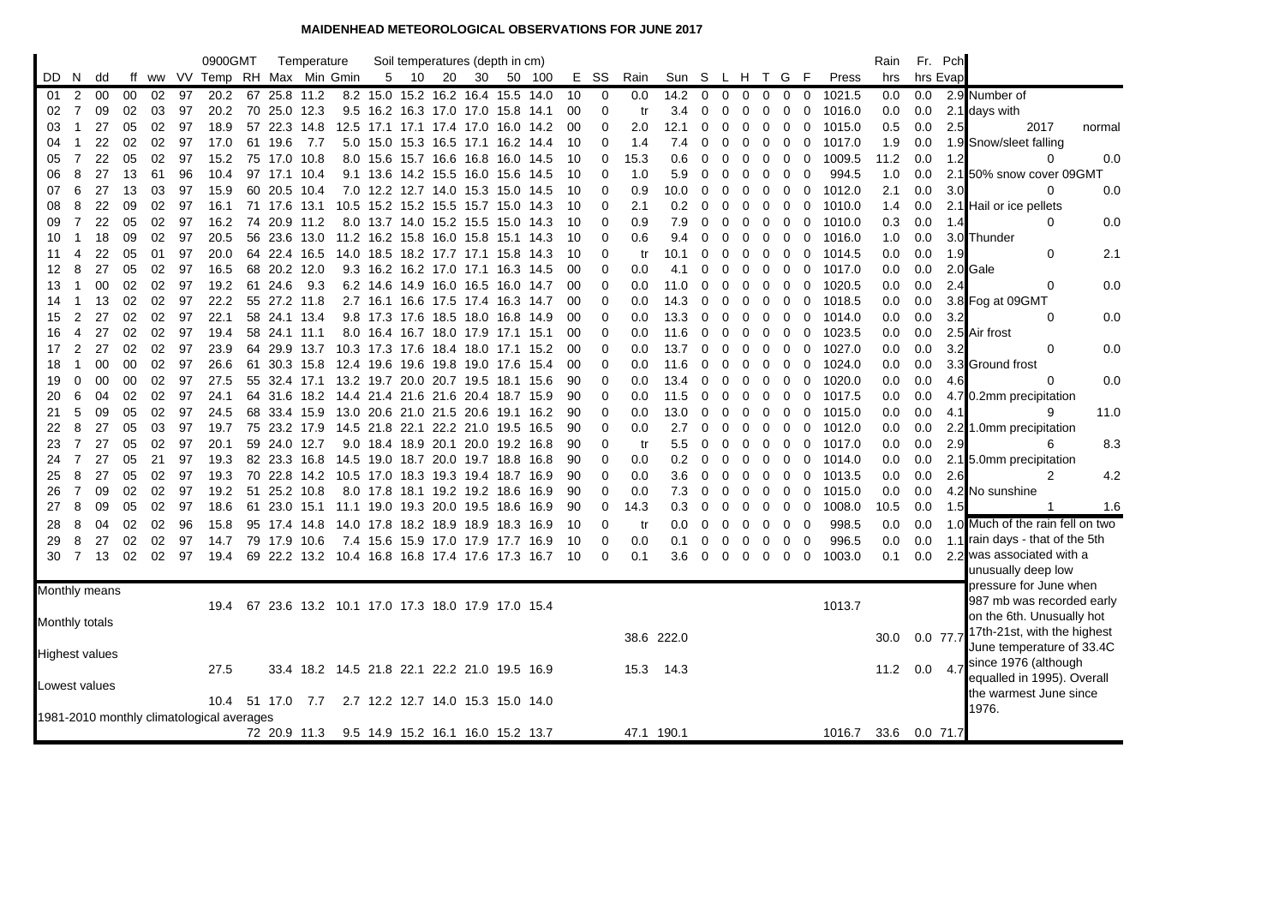## **MAIDENHEAD METEOROLOGICAL OBSERVATIONS FOR JUNE 2017**

|                                                                                                |                     |                |          |          |          | 0900GMT                       |    |              | Temperature  |                                                 |      |      | Soil temperatures (depth in cm)   |           |      |                                    |          |               |            |              |                |               |                |                |             |                     |                      | Rain       |            | Fr. Pch |                                  |        |
|------------------------------------------------------------------------------------------------|---------------------|----------------|----------|----------|----------|-------------------------------|----|--------------|--------------|-------------------------------------------------|------|------|-----------------------------------|-----------|------|------------------------------------|----------|---------------|------------|--------------|----------------|---------------|----------------|----------------|-------------|---------------------|----------------------|------------|------------|---------|----------------------------------|--------|
|                                                                                                | DD N                | dd             |          |          |          | ff ww VV Temp RH Max Min Gmin |    |              |              |                                                 | 5    | 10   | 20                                | 30        |      | 50 100                             | Е.       | SS            | Rain       | Sun S        |                | L H           |                | T G            |             | - F                 | Press                | hrs        | hrs Evap   |         |                                  |        |
| 01                                                                                             | $\overline{2}$      | 00             | 00       | 02       | 97       | 20.2                          |    |              | 67 25.8 11.2 |                                                 |      |      |                                   |           |      | 8.2 15.0 15.2 16.2 16.4 15.5 14.0  | 10       | 0             | 0.0        | 14.2         | $\mathbf 0$    | $\mathbf 0$   | 0              | 0              | 0           | $\mathbf 0$         | 1021.5               | 0.0        | 0.0        |         | 2.9 Number of                    |        |
| 02                                                                                             | 7                   | 09             | 02       | 03       | 97       | 20.2                          | 70 |              | 25.0 12.3    |                                                 |      |      |                                   |           |      | 9.5 16.2 16.3 17.0 17.0 15.8 14.1  | 00       | 0             | tr         | 3.4          | 0              | 0             | 0              | 0              | 0           | 0                   | 1016.0               | 0.0        | 0.0        |         | 2.1 days with                    |        |
| 03                                                                                             | 1                   | 27             | 05       | 02       | 97       | 18.9                          | 57 |              | 22.3 14.8    |                                                 |      |      |                                   |           |      | 12.5 17.1 17.1 17.4 17.0 16.0 14.2 | 00       | $\Omega$      | 2.0        | 12.1         | 0              | $\Omega$      | 0              | 0              | 0           | 0                   | 1015.0               | 0.5        | 0.0        | 2.5     | 2017                             | normal |
| 04                                                                                             | $\mathbf{1}$        | 22             | 02       | 02       | 97       | 17.0                          | 61 | 19.6         | 7.7          |                                                 |      |      |                                   |           |      | 5.0 15.0 15.3 16.5 17.1 16.2 14.4  | 10       | 0             | 1.4        | 7.4          | 0              | 0             | 0              | 0              | 0           | 0                   | 1017.0               | 1.9        | 0.0        |         | 1.9 Snow/sleet falling           |        |
| 05                                                                                             | 7                   | 22             | 05       | 02       | 97       | 15.2                          | 75 |              | 17.0 10.8    |                                                 |      |      |                                   |           |      | 8.0 15.6 15.7 16.6 16.8 16.0 14.5  | 10       | 0             | 15.3       | 0.6          | 0              | ∩             | 0              | 0              | 0           | 0                   | 1009.5               | 11.2       | 0.0        | 1.2     | 0                                | 0.0    |
| 06                                                                                             | 8                   | 27             | 13       | 61       | 96       | 10.4                          |    | 97 17.1 10.4 |              |                                                 |      |      |                                   |           |      | 9.1 13.6 14.2 15.5 16.0 15.6 14.5  | 10       | 0             | 1.0        | 5.9          | 0              | O             | 0              | 0              | 0           | 0                   | 994.5                | 1.0        | 0.0        |         | 2.1 50% snow cover 09GMT         |        |
| 07                                                                                             | 6                   | 27             | 13       | 03       | 97       | 15.9                          |    | 60 20.5 10.4 |              |                                                 |      |      |                                   |           |      | 7.0 12.2 12.7 14.0 15.3 15.0 14.5  | 10       | 0             | 0.9        | 10.0         | 0              | ∩             | 0              | $\mathbf 0$    | 0           | 0                   | 1012.0               | 2.1        | 0.0        | 3.0     | $\Omega$                         | 0.0    |
| 08                                                                                             | 8                   | 22             | 09       | 02       | 97       | 16.1                          | 71 | 17.6         | -13.1        |                                                 |      |      | 10.5 15.2 15.2 15.5 15.7 15.0     |           |      | 14.3                               | 10       | 0             | 2.1        | 0.2          | 0              | 0             | O              | 0              | 0           | 0                   | 1010.0               | 1.4        | 0.0        |         | 2.1 Hail or ice pellets          |        |
| 09                                                                                             | 7                   | 22             | 05       | 02       | 97       | 16.2                          |    |              | 74 20.9 11.2 |                                                 |      |      | 8.0 13.7 14.0 15.2 15.5 15.0      |           |      | -14.3                              | 10       | 0             | 0.9        | 7.9          | 0              | $\Omega$      | 0              | 0              | 0           | 0                   | 1010.0               | 0.3        | 0.0        | 1.4     | 0                                | 0.0    |
| 10                                                                                             | 1                   | 18             | 09       | 02       | 97       | 20.5                          |    |              | 56 23.6 13.0 |                                                 |      |      |                                   |           |      | 11.2 16.2 15.8 16.0 15.8 15.1 14.3 | 10       | $\Omega$      | 0.6        | 9.4          | 0              | $\Omega$      | 0              | 0              | 0           | 0                   | 1016.0               | 1.0        | 0.0        |         | 3.0 Thunder                      |        |
| 11                                                                                             | 4                   | 22             | 05       | 01       | 97       | 20.0                          |    |              | 64 22.4 16.5 |                                                 |      |      | 14.0 18.5 18.2 17.7 17.1 15.8     |           |      | 14.3                               | 10       | 0             | tr         | 10.1         | 0              | 0             | 0              | 0              | 0           | 0                   | 1014.5               | 0.0        | 0.0        | 1.9     | 0                                | 2.1    |
| 12                                                                                             | 8                   | 27             | 05       | 02       | 97       | 16.5                          |    | 68 20.2 12.0 |              |                                                 |      |      |                                   |           |      | 9.3 16.2 16.2 17.0 17.1 16.3 14.5  | 00       | 0             | 0.0        | 4.1          | 0              | $\Omega$      | 0              | 0              | 0           | 0                   | 1017.0               | 0.0        | 0.0        |         | 2.0 Gale                         |        |
| 13                                                                                             | 1                   | 00             | 02       | 02       | 97       | 19.2                          |    | 61 24.6      | 9.3          |                                                 |      |      |                                   |           |      | 6.2 14.6 14.9 16.0 16.5 16.0 14.7  | 00       | $\Omega$      | 0.0        | 11.0         | 0              | $\Omega$      | $\Omega$       | 0              | 0           | 0                   | 1020.5               | 0.0        | 0.0        | 2.4     | $\Omega$                         | 0.0    |
| 14                                                                                             | 1                   | 13             | 02       | 02       | 97       | 22.2                          |    | 55 27.2 11.8 |              |                                                 |      |      |                                   |           |      | 2.7 16.1 16.6 17.5 17.4 16.3 14.7  | 00       | 0             | 0.0        | 14.3         | 0              |               | 0              | 0              | 0           | 0                   | 1018.5               | 0.0        | 0.0        |         | 3.8 Fog at 09GMT                 |        |
| 15                                                                                             | 2                   | 27             | 02       | 02       | 97       | 22.1                          |    | 58 24.1 13.4 |              |                                                 |      |      | 9.8 17.3 17.6 18.5                | 18.0      | 16.8 | 14.9                               | 00       | $\Omega$      | 0.0        | 13.3         | 0              | O             | 0              | 0              | 0           | 0                   | 1014.0               | 0.0        | 0.0        | 3.2     | $\Omega$                         | 0.0    |
| 16<br>17                                                                                       | 4<br>$\overline{2}$ | 27<br>27       | 02<br>02 | 02<br>02 | 97<br>97 | 19.4<br>23.9                  |    | 58 24.1 11.1 | 64 29.9 13.7 |                                                 |      |      | 8.0 16.4 16.7 18.0 17.9 17.1 15.1 |           |      | 10.3 17.3 17.6 18.4 18.0 17.1 15.2 | 00       | $\Omega$<br>0 | 0.0<br>0.0 | 11.6         | 0              | $\Omega$<br>0 | 0              | $\mathbf 0$    | 0           | 0                   | 1023.5<br>1027.0     | 0.0<br>0.0 | 0.0<br>0.0 | 3.2     | 2.5 Air frost<br>$\Omega$        | 0.0    |
|                                                                                                | 1                   | 00             | 00       | 02       | 97       | 26.6                          | 61 |              | 30.3 15.8    |                                                 |      |      | 12.4 19.6 19.6 19.8               | 19.0 17.6 |      | 15.4                               | 00<br>00 | 0             | 0.0        | 13.7<br>11.6 | 0<br>0         | 0             | 0<br>0         | 0<br>0         | 0<br>0      | 0<br>$\overline{0}$ | 1024.0               | 0.0        | 0.0        |         | 3.3 Ground frost                 |        |
| 18<br>19                                                                                       | $\Omega$            | 00             | 00       | 02       | 97       | 27.5                          | 55 |              | 32.4 17.1    |                                                 |      |      |                                   |           |      | 13.2 19.7 20.0 20.7 19.5 18.1 15.6 | 90       | 0             | 0.0        | 13.4         | 0              | ∩             | 0              | 0              | 0           | 0                   | 1020.0               | 0.0        | 0.0        | 4.6     | 0                                | 0.0    |
| 20                                                                                             | 6                   | 04             | 02       | 02       | 97       | 24.1                          |    |              | 64 31.6 18.2 | 14.4 21.4 21.6 21.6 20.4 18.7 15.9              |      |      |                                   |           |      |                                    | 90       | 0             | 0.0        | 11.5         | 0              | 0             | 0              | 0              | 0           | 0                   | 1017.5               | 0.0        | 0.0        |         | 4.7 0.2mm precipitation          |        |
| 21                                                                                             | 5                   | 09             | 05       | 02       | 97       | 24.5                          |    |              | 68 33.4 15.9 |                                                 |      |      |                                   |           |      | 13.0 20.6 21.0 21.5 20.6 19.1 16.2 | 90       | 0             | 0.0        | 13.0         | 0              |               | O              | 0              | 0           | 0                   | 1015.0               | 0.0        | 0.0        | 4.1     | 9                                | 11.0   |
| 22                                                                                             | 8                   | 27             | 05       | 03       | 97       | 19.7                          | 75 |              | 23.2 17.9    | 14.5                                            | 21.8 | 22.1 | 22.2                              | 21.0      | 19.5 | 16.5                               | 90       | $\Omega$      | 0.0        | 2.7          | 0              |               | 0              | 0              | 0           | 0                   | 1012.0               | 0.0        | 0.0        |         | 2.2 1.0mm precipitation          |        |
| 23                                                                                             | 7                   | 27             | 05       | 02       | 97       | 20.1                          |    | 59 24.0 12.7 |              |                                                 |      |      |                                   |           |      | 9.0 18.4 18.9 20.1 20.0 19.2 16.8  | 90       | 0             | tr         | 5.5          | 0              | 0             | 0              | 0              | 0           | 0                   | 1017.0               | 0.0        | 0.0        | 2.9     | 6                                | 8.3    |
| 24                                                                                             | 7                   | 27             | 05       | 21       | 97       | 19.3                          |    |              | 82 23.3 16.8 |                                                 |      |      |                                   |           |      | 14.5 19.0 18.7 20.0 19.7 18.8 16.8 | 90       | 0             | 0.0        | 0.2          | 0              | 0             | 0              | 0              | 0           | 0                   | 1014.0               | 0.0        | 0.0        |         | 2.1 5.0mm precipitation          |        |
| 25                                                                                             | 8                   | 27             | 05       | 02       | 97       | 19.3                          | 70 |              | 22.8 14.2    |                                                 |      |      |                                   |           |      | 10.5 17.0 18.3 19.3 19.4 18.7 16.9 | 90       | $\mathbf 0$   | 0.0        | 3.6          | $\Omega$       | $\Omega$      | 0              | 0              | 0           | 0                   | 1013.5               | 0.0        | 0.0        | 2.6     | 2                                | 4.2    |
| 26                                                                                             | $\overline{7}$      | 09             | 02       | 02       | 97       | 19.2                          | 51 |              | 25.2 10.8    |                                                 |      |      | 8.0 17.8 18.1 19.2 19.2 18.6      |           |      | 16.9                               | 90       | 0             | 0.0        | 7.3          | 0              | $\Omega$      | 0              | 0              | 0           | 0                   | 1015.0               | 0.0        | 0.0        |         | 4.2 No sunshine                  |        |
| 27                                                                                             | 8                   | 09             | 05       | 02       | 97       | 18.6                          |    | 61 23.0 15.1 |              |                                                 |      |      |                                   |           |      | 11.1 19.0 19.3 20.0 19.5 18.6 16.9 | 90       | 0             | 14.3       | 0.3          | 0              |               | O              | 0              | 0           | $\mathbf{0}$        | 1008.0               | 10.5       | 0.0        | 1.5     |                                  | 1.6    |
| 28                                                                                             | 8                   | 04             | 02       | 02       | 96       | 15.8                          | 95 |              | 17.4 14.8    |                                                 |      |      |                                   |           |      | 14.0 17.8 18.2 18.9 18.9 18.3 16.9 | 10       | $\Omega$      | tr         | 0.0          | 0              | 0             | 0              | 0              | 0           | $\mathsf 0$         | 998.5                | 0.0        | 0.0        |         | 1.0 Much of the rain fell on two |        |
| 29                                                                                             | 8                   | 27             | 02       | 02       | 97       | 14.7                          | 79 |              | 17.9 10.6    |                                                 |      |      | 7.4 15.6 15.9 17.0 17.9 17.7      |           |      | 16.9                               | 10       | 0             | 0.0        | 0.1          | $\Omega$       | $\Omega$      | $\Omega$       | 0              | 0           | $\Omega$            | 996.5                | 0.0        | 0.0        |         | 1.1 rain days - that of the 5th  |        |
| 30                                                                                             | 7                   | 13             | 02       | 02       | 97       | 19.4                          |    |              |              | 69 22.2 13.2 10.4 16.8 16.8 17.4 17.6 17.3 16.7 |      |      |                                   |           |      |                                    | 10       | $\Omega$      | 0.1        | 3.6          | $\overline{0}$ | $\mathbf 0$   | $\overline{0}$ | $\overline{0}$ | $\mathbf 0$ | $\overline{0}$      | 1003.0               | 0.1        | 0.0        |         | 2.2 was associated with a        |        |
|                                                                                                |                     |                |          |          |          |                               |    |              |              |                                                 |      |      |                                   |           |      |                                    |          |               |            |              |                |               |                |                |             |                     |                      |            |            |         | unusually deep low               |        |
|                                                                                                |                     | Monthly means  |          |          |          |                               |    |              |              |                                                 |      |      |                                   |           |      |                                    |          |               |            |              |                |               |                |                |             |                     |                      |            |            |         | pressure for June when           |        |
|                                                                                                |                     |                |          |          |          | 19.4                          | 67 |              |              | 23.6 13.2 10.1 17.0 17.3 18.0 17.9 17.0 15.4    |      |      |                                   |           |      |                                    |          |               |            |              |                |               |                |                |             |                     | 1013.7               |            |            |         | 987 mb was recorded early        |        |
|                                                                                                |                     | Monthly totals |          |          |          |                               |    |              |              |                                                 |      |      |                                   |           |      |                                    |          |               |            |              |                |               |                |                |             |                     |                      |            |            |         | on the 6th. Unusually hot        |        |
|                                                                                                |                     |                |          |          |          |                               |    |              |              |                                                 |      |      |                                   |           |      |                                    |          |               | 38.6 222.0 |              |                |               |                |                |             |                     |                      | 30.0       | $0.0$ 77.7 |         | 17th-21st, with the highest      |        |
|                                                                                                |                     | Highest values |          |          |          |                               |    |              |              |                                                 |      |      |                                   |           |      |                                    |          |               |            |              |                |               |                |                |             |                     |                      |            |            |         | June temperature of 33.4C        |        |
|                                                                                                |                     |                |          |          |          | 27.5                          |    |              |              | 33.4 18.2 14.5 21.8 22.1 22.2 21.0 19.5 16.9    |      |      |                                   |           |      |                                    |          |               | 15.3       | 14.3         |                |               |                |                |             |                     |                      | 11.2       | $0.0$ 4.7  |         | since 1976 (although             |        |
|                                                                                                |                     | Lowest values  |          |          |          |                               |    |              |              |                                                 |      |      |                                   |           |      |                                    |          |               |            |              |                |               |                |                |             |                     |                      |            |            |         | equalled in 1995). Overall       |        |
|                                                                                                |                     |                |          |          |          | 10.4                          |    |              | 51 17.0 7.7  |                                                 |      |      |                                   |           |      | 2.7 12.2 12.7 14.0 15.3 15.0 14.0  |          |               |            |              |                |               |                |                |             |                     |                      |            |            |         | the warmest June since           |        |
|                                                                                                |                     |                |          |          |          |                               |    |              |              |                                                 |      |      |                                   |           |      |                                    |          |               |            |              |                |               |                |                |             |                     |                      |            |            |         | 1976.                            |        |
| 1981-2010 monthly climatological averages<br>9.5 14.9 15.2 16.1 16.0 15.2 13.7<br>72 20.9 11.3 |                     |                |          |          |          |                               |    |              |              |                                                 |      |      |                                   |           |      |                                    |          |               | 47.1 190.1 |              |                |               |                |                |             |                     | 1016.7 33.6 0.0 71.7 |            |            |         |                                  |        |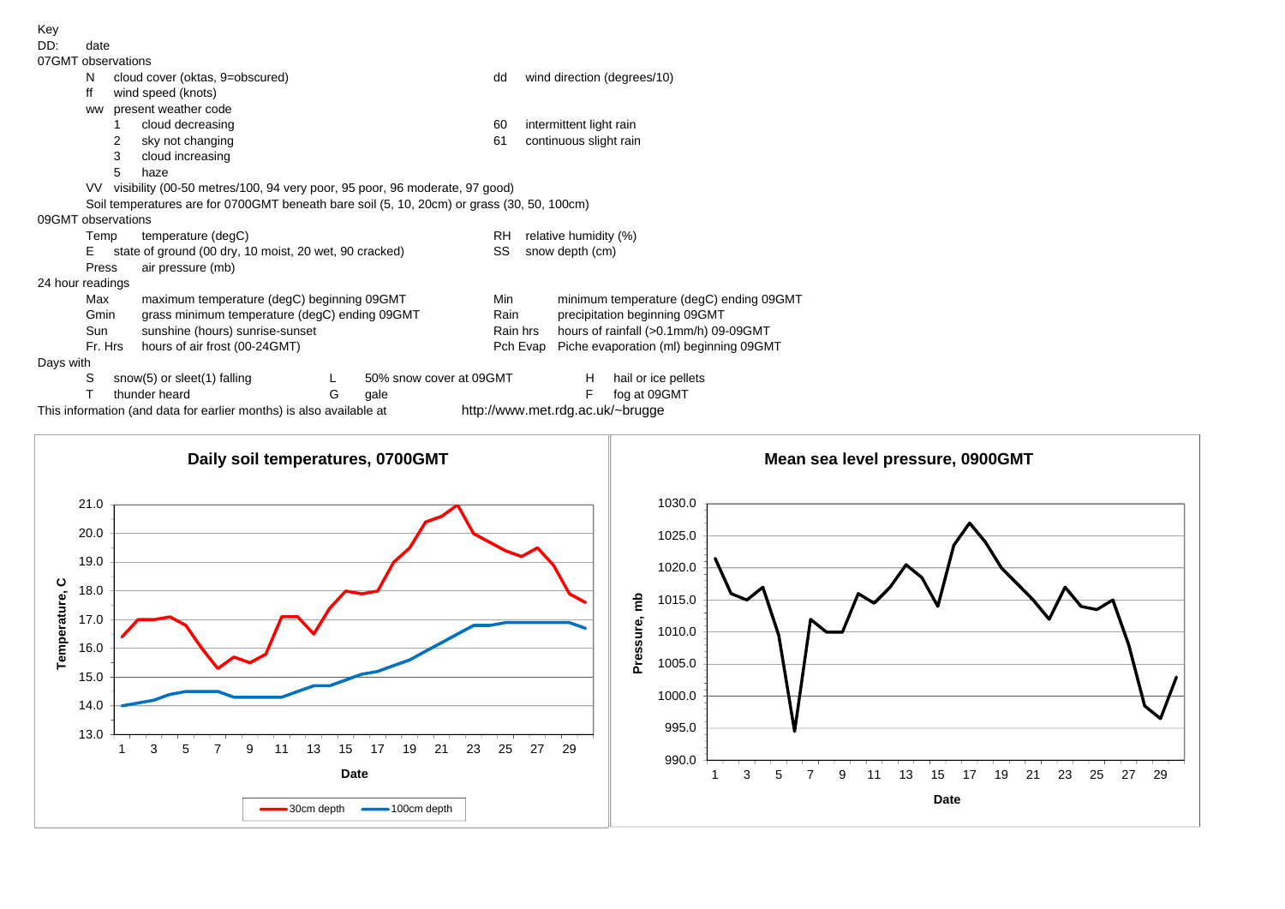

This information (and data for earlier months) is also available at http://www.met.rdg.ac.uk/~brugge